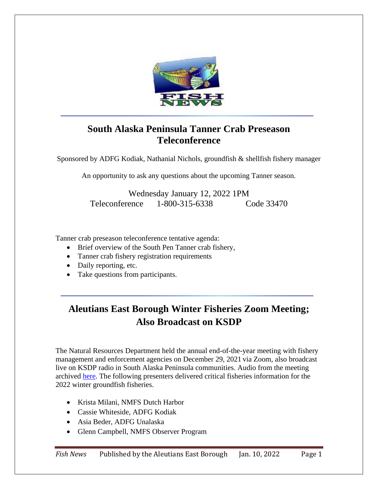

# **South Alaska Peninsula Tanner Crab Preseason Teleconference**

Sponsored by ADFG Kodiak, Nathanial Nichols, groundfish & shellfish fishery manager

An opportunity to ask any questions about the upcoming Tanner season.

Wednesday January 12, 2022 1PM Teleconference 1-800-315-6338 Code 33470

Tanner crab preseason teleconference tentative agenda:

- Brief overview of the South Pen Tanner crab fishery,
- Tanner crab fishery registration requirements
- Daily reporting, etc.
- Take questions from participants.

# **Aleutians East Borough Winter Fisheries Zoom Meeting; Also Broadcast on KSDP**

The Natural Resources Department held the annual end-of-the-year meeting with fishery management and enforcement agencies on December 29, 2021 via Zoom, also broadcast live on KSDP radio in South Alaska Peninsula communities. Audio from the meeting archived [here.](https://www.apradio.org/news/aeb-fishermens-winter-fisheries-meeting-on-12-29-2021-at-10am/) The following presenters delivered critical fisheries information for the 2022 winter groundfish fisheries.

- Krista Milani, NMFS Dutch Harbor
- Cassie Whiteside, ADFG Kodiak
- Asia Beder, ADFG Unalaska
- Glenn Campbell, NMFS Observer Program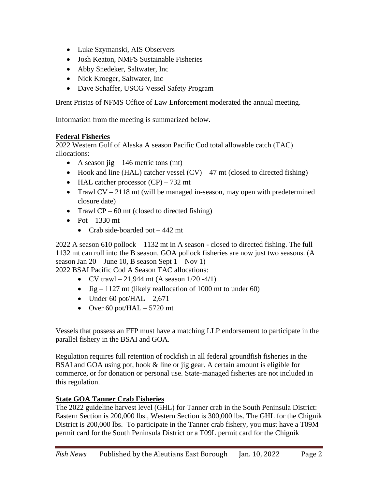- Luke Szymanski, AIS Observers
- Josh Keaton, NMFS Sustainable Fisheries
- Abby Snedeker, Saltwater, Inc.
- Nick Kroeger, Saltwater, Inc.
- Dave Schaffer, USCG Vessel Safety Program

Brent Pristas of NFMS Office of Law Enforcement moderated the annual meeting.

Information from the meeting is summarized below.

#### **Federal Fisheries**

2022 Western Gulf of Alaska A season Pacific Cod total allowable catch (TAC) allocations:

- A season jig  $-146$  metric tons (mt)
- Hook and line (HAL) catcher vessel  $(CV) 47$  mt (closed to directed fishing)
- HAL catcher processor  $(CP)$  732 mt
- Trawl  $CV 2118$  mt (will be managed in-season, may open with predetermined closure date)
- Trawl  $CP 60$  mt (closed to directed fishing)
- Pot  $-1330$  mt
	- Crab side-boarded pot 442 mt

2022 A season 610 pollock – 1132 mt in A season - closed to directed fishing. The full 1132 mt can roll into the B season. GOA pollock fisheries are now just two seasons. (A season Jan  $20 -$  June 10, B season Sept  $1 -$  Nov 1)

2022 BSAI Pacific Cod A Season TAC allocations:

- CV trawl 21,944 mt (A season  $1/20 4/1$ )
- Jig 1127 mt (likely reallocation of 1000 mt to under 60)
- Under 60 pot/HAL  $-2,671$
- Over 60 pot/HAL  $-5720$  mt

Vessels that possess an FFP must have a matching LLP endorsement to participate in the parallel fishery in the BSAI and GOA.

Regulation requires full retention of rockfish in all federal groundfish fisheries in the BSAI and GOA using pot, hook & line or jig gear. A certain amount is eligible for commerce, or for donation or personal use. State-managed fisheries are not included in this regulation.

# **State GOA Tanner Crab Fisheries**

The 2022 guideline harvest level (GHL) for Tanner crab in the South Peninsula District: Eastern Section is 200,000 lbs., Western Section is 300,000 lbs. The GHL for the Chignik District is 200,000 lbs. To participate in the Tanner crab fishery, you must have a T09M permit card for the South Peninsula District or a T09L permit card for the Chignik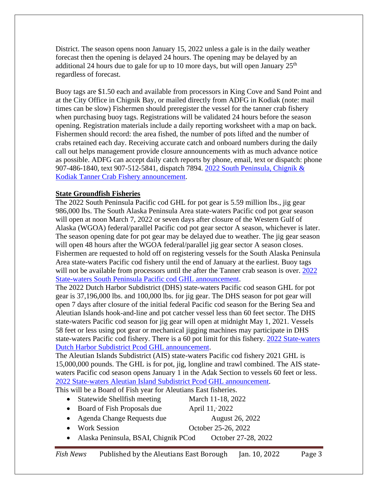District. The season opens noon January 15, 2022 unless a gale is in the daily weather forecast then the opening is delayed 24 hours. The opening may be delayed by an additional 24 hours due to gale for up to 10 more days, but will open January  $25<sup>th</sup>$ regardless of forecast.

Buoy tags are \$1.50 each and available from processors in King Cove and Sand Point and at the City Office in Chignik Bay, or mailed directly from ADFG in Kodiak (note: mail times can be slow) Fishermen should preregister the vessel for the tanner crab fishery when purchasing buoy tags. Registrations will be validated 24 hours before the season opening. Registration materials include a daily reporting worksheet with a map on back. Fishermen should record: the area fished, the number of pots lifted and the number of crabs retained each day. Receiving accurate catch and onboard numbers during the daily call out helps management provide closure announcements with as much advance notice as possible. ADFG can accept daily catch reports by phone, email, text or dispatch: phone 907-486-1840, text 907-512-5841, dispatch 7894. [2022 South Peninsula, Chignik &](https://www.adfg.alaska.gov/static-f/applications/dcfnewsrelease/1344637870.pdf)  [Kodiak Tanner Crab Fishery announcement.](https://www.adfg.alaska.gov/static-f/applications/dcfnewsrelease/1344637870.pdf)

#### **State Groundfish Fisheries**

The 2022 South Peninsula Pacific cod GHL for pot gear is 5.59 million lbs., jig gear 986,000 lbs. The South Alaska Peninsula Area state-waters Pacific cod pot gear season will open at noon March 7, 2022 or seven days after closure of the Western Gulf of Alaska (WGOA) federal/parallel Pacific cod pot gear sector A season, whichever is later. The season opening date for pot gear may be delayed due to weather. The jig gear season will open 48 hours after the WGOA federal/parallel jig gear sector A season closes. Fishermen are requested to hold off on registering vessels for the South Alaska Peninsula Area state-waters Pacific cod fishery until the end of January at the earliest. Buoy tags will not be available from processors until the after the Tanner crab season is over. 2022 [State-waters South Peninsula Pacific cod GHL](http://www.adfg.alaska.gov/static-f/applications/dcfnewsrelease/1349307782.pdf) announcement.

The 2022 Dutch Harbor Subdistrict (DHS) state-waters Pacific cod season GHL for pot gear is 37,196,000 lbs. and 100,000 lbs. for jig gear. The DHS season for pot gear will open 7 days after closure of the initial federal Pacific cod season for the Bering Sea and Aleutian Islands hook-and-line and pot catcher vessel less than 60 feet sector. The DHS state-waters Pacific cod season for jig gear will open at midnight May 1, 2021. Vessels 58 feet or less using pot gear or mechanical jigging machines may participate in DHS state-waters Pacific cod fishery. There is a 60 pot limit for this fishery. 2022 [State-waters](https://www.adfg.alaska.gov/static-f/applications/dcfnewsrelease/1349170069.pdf)  [Dutch Harbor Subdistrict Pcod GHL announcement.](https://www.adfg.alaska.gov/static-f/applications/dcfnewsrelease/1349170069.pdf)

The Aleutian Islands Subdistrict (AIS) state-waters Pacific cod fishery 2021 GHL is 15,000,000 pounds. The GHL is for pot, jig, longline and trawl combined. The AIS statewaters Pacific cod season opens January 1 in the Adak Section to vessels 60 feet or less. 2022 State-waters [Aleutian Island Subdistrict Pcod GHL](https://www.adfg.alaska.gov/static-f/applications/dcfnewsrelease/1349262564.pdf) announcement.

This will be a Board of Fish year for Aleutians East fisheries.

• Statewide Shellfish meeting March 11-18, 2022 • Board of Fish Proposals due April 11, 2022

• Agenda Change Requests due August 26, 2022

- 
- Work Session October 25-26, 2022
- Alaska Peninsula, BSAI, Chignik PCod October 27-28, 2022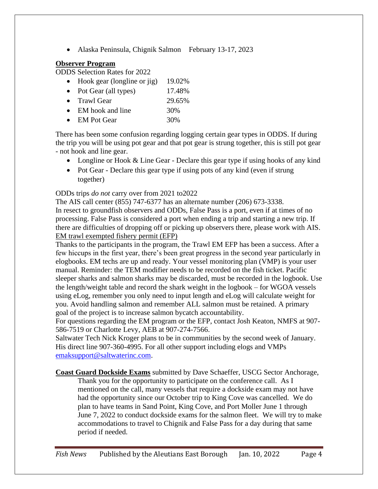• Alaska Peninsula, Chignik Salmon February 13-17, 2023

### **Observer Program**

ODDS Selection Rates for 2022

- Hook gear (longline or jig) 19.02%
- Pot Gear (all types) 17.48%
- Trawl Gear 29.65%
- EM hook and line 30%
- EM Pot Gear 30%

There has been some confusion regarding logging certain gear types in ODDS. If during the trip you will be using pot gear and that pot gear is strung together, this is still pot gear - not hook and line gear.

- Longline or Hook & Line Gear Declare this gear type if using hooks of any kind
- Pot Gear Declare this gear type if using pots of any kind (even if strung together)

# ODDs trips *do not* carry over from 2021 to2022

The AIS call center (855) 747-6377 has an alternate number (206) 673-3338. In resect to groundfish observers and ODDs, False Pass is a port, even if at times of no processing. False Pass is considered a port when ending a trip and starting a new trip. If there are difficulties of dropping off or picking up observers there, please work with AIS. EM trawl exempted fishery permit (EFP)

Thanks to the participants in the program, the Trawl EM EFP has been a success. After a few hiccups in the first year, there's been great progress in the second year particularly in elogbooks. EM techs are up and ready. Your vessel monitoring plan (VMP) is your user manual. Reminder: the TEM modifier needs to be recorded on the fish ticket. Pacific sleeper sharks and salmon sharks may be discarded, must be recorded in the logbook. Use the length/weight table and record the shark weight in the logbook – for WGOA vessels using eLog, remember you only need to input length and eLog will calculate weight for you. Avoid handling salmon and remember ALL salmon must be retained. A primary goal of the project is to increase salmon bycatch accountability.

For questions regarding the EM program or the EFP, contact Josh Keaton, NMFS at 907- 586-7519 or Charlotte Levy, AEB at 907-274-7566.

Saltwater Tech Nick Kroger plans to be in communities by the second week of January. His direct line 907-360-4995. For all other support including elogs and VMPs [emaksupport@saltwaterinc.com.](mailto:emaksupport@saltwaterinc.com)

**Coast Guard Dockside Exams** submitted by Dave Schaeffer, USCG Sector Anchorage,

Thank you for the opportunity to participate on the conference call. As I mentioned on the call, many vessels that require a dockside exam may not have had the opportunity since our October trip to King Cove was cancelled. We do plan to have teams in Sand Point, King Cove, and Port Moller June 1 through June 7, 2022 to conduct dockside exams for the salmon fleet. We will try to make accommodations to travel to Chignik and False Pass for a day during that same period if needed.